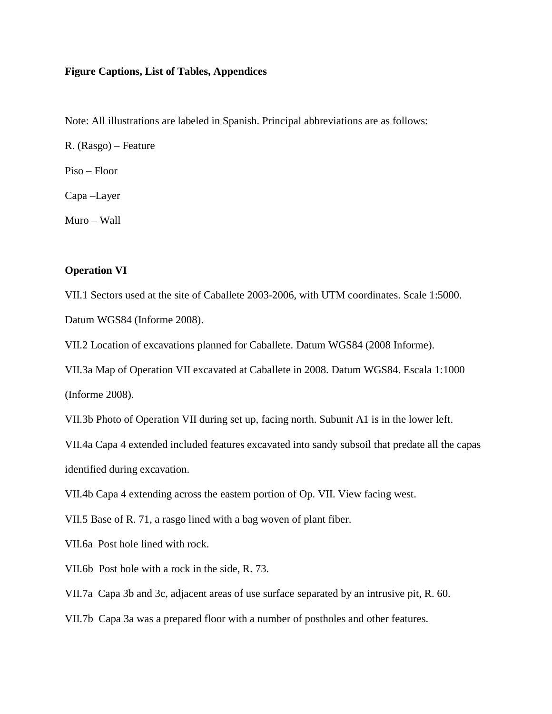#### **Figure Captions, List of Tables, Appendices**

Note: All illustrations are labeled in Spanish. Principal abbreviations are as follows:

R. (Rasgo) – Feature Piso – Floor Capa –Layer

Muro – Wall

# **Operation VI**

VII.1 Sectors used at the site of Caballete 2003-2006, with UTM coordinates. Scale 1:5000. Datum WGS84 (Informe 2008).

VII.2 Location of excavations planned for Caballete. Datum WGS84 (2008 Informe).

VII.3a Map of Operation VII excavated at Caballete in 2008. Datum WGS84. Escala 1:1000 (Informe 2008).

VII.3b Photo of Operation VII during set up, facing north. Subunit A1 is in the lower left.

VII.4a Capa 4 extended included features excavated into sandy subsoil that predate all the capas identified during excavation.

VII.4b Capa 4 extending across the eastern portion of Op. VII. View facing west.

VII.5 Base of R. 71, a rasgo lined with a bag woven of plant fiber.

VII.6a Post hole lined with rock.

VII.6b Post hole with a rock in the side, R. 73.

VII.7a Capa 3b and 3c, adjacent areas of use surface separated by an intrusive pit, R. 60.

VII.7b Capa 3a was a prepared floor with a number of postholes and other features.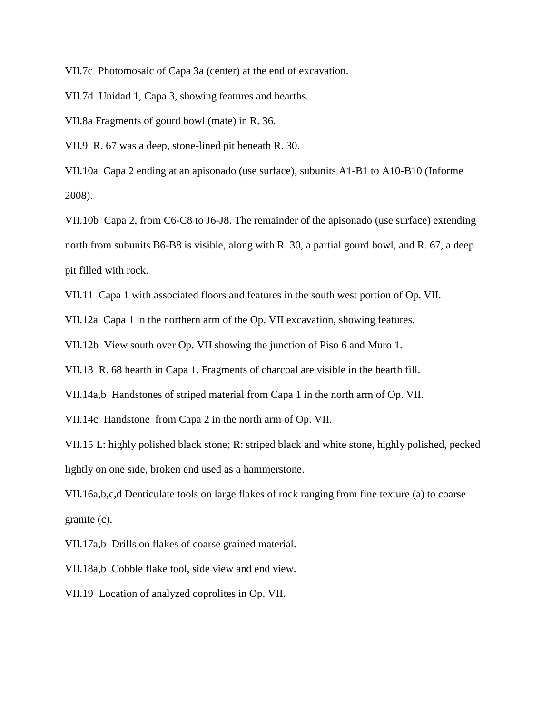VII.7c Photomosaic of Capa 3a (center) at the end of excavation.

VII.7d Unidad 1, Capa 3, showing features and hearths.

VII.8a Fragments of gourd bowl (mate) in R. 36.

VII.9 R. 67 was a deep, stone-lined pit beneath R. 30.

VII.10a Capa 2 ending at an apisonado (use surface), subunits A1-B1 to A10-B10 (Informe 2008).

VII.10b Capa 2, from C6-C8 to J6-J8. The remainder of the apisonado (use surface) extending north from subunits B6-B8 is visible, along with R. 30, a partial gourd bowl, and R. 67, a deep pit filled with rock.

VII.11 Capa 1 with associated floors and features in the south west portion of Op. VII.

VII.12a Capa 1 in the northern arm of the Op. VII excavation, showing features.

VII.12b View south over Op. VII showing the junction of Piso 6 and Muro 1.

VII.13 R. 68 hearth in Capa 1. Fragments of charcoal are visible in the hearth fill.

VII.14a,b Handstones of striped material from Capa 1 in the north arm of Op. VII.

VII.14c Handstone from Capa 2 in the north arm of Op. VII.

VII.15 L: highly polished black stone; R: striped black and white stone, highly polished, pecked lightly on one side, broken end used as a hammerstone.

VII.16a,b,c,d Denticulate tools on large flakes of rock ranging from fine texture (a) to coarse granite (c).

VII.17a,b Drills on flakes of coarse grained material.

VII.18a,b Cobble flake tool, side view and end view.

VII.19 Location of analyzed coprolites in Op. VII.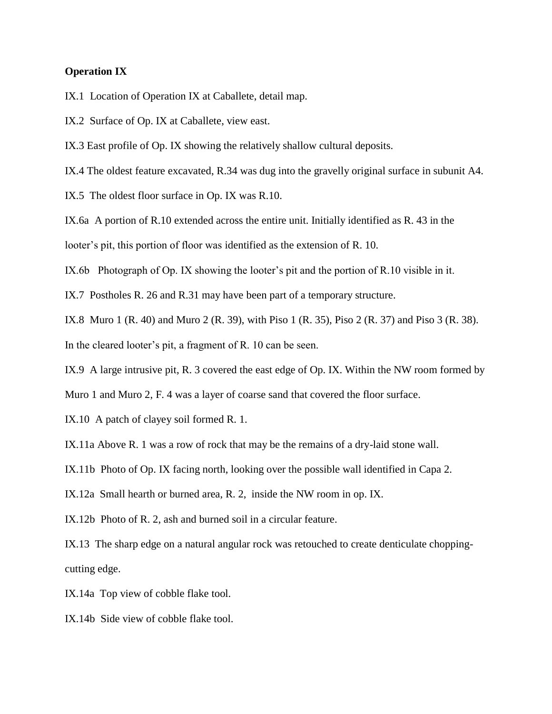#### **Operation IX**

IX.1 Location of Operation IX at Caballete, detail map.

IX.2 Surface of Op. IX at Caballete, view east.

IX.3 East profile of Op. IX showing the relatively shallow cultural deposits.

IX.4 The oldest feature excavated, R.34 was dug into the gravelly original surface in subunit A4.

IX.5 The oldest floor surface in Op. IX was R.10.

IX.6a A portion of R.10 extended across the entire unit. Initially identified as R. 43 in the looter's pit, this portion of floor was identified as the extension of R. 10.

IX.6b Photograph of Op. IX showing the looter's pit and the portion of R.10 visible in it.

IX.7 Postholes R. 26 and R.31 may have been part of a temporary structure.

IX.8 Muro 1 (R. 40) and Muro 2 (R. 39), with Piso 1 (R. 35), Piso 2 (R. 37) and Piso 3 (R. 38).

In the cleared looter's pit, a fragment of R. 10 can be seen.

IX.9 A large intrusive pit, R. 3 covered the east edge of Op. IX. Within the NW room formed by

Muro 1 and Muro 2, F. 4 was a layer of coarse sand that covered the floor surface.

IX.10 A patch of clayey soil formed R. 1.

IX.11a Above R. 1 was a row of rock that may be the remains of a dry-laid stone wall.

IX.11b Photo of Op. IX facing north, looking over the possible wall identified in Capa 2.

IX.12a Small hearth or burned area, R. 2, inside the NW room in op. IX.

IX.12b Photo of R. 2, ash and burned soil in a circular feature.

IX.13 The sharp edge on a natural angular rock was retouched to create denticulate choppingcutting edge.

IX.14a Top view of cobble flake tool.

IX.14b Side view of cobble flake tool.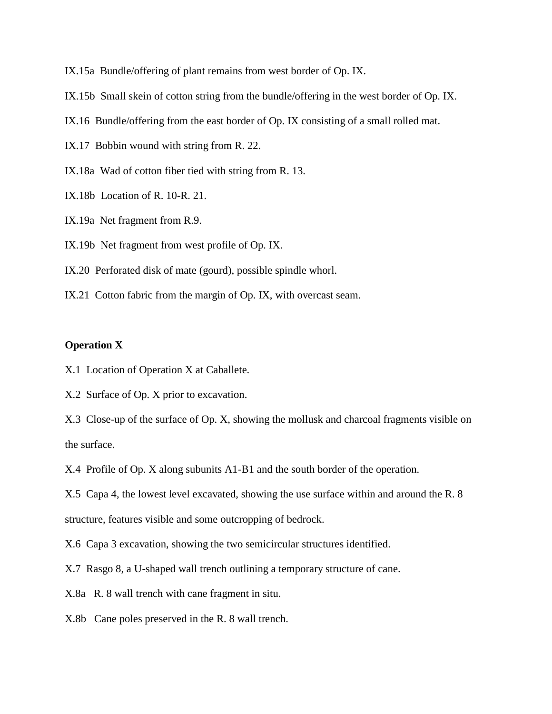IX.15a Bundle/offering of plant remains from west border of Op. IX.

- IX.15b Small skein of cotton string from the bundle/offering in the west border of Op. IX.
- IX.16 Bundle/offering from the east border of Op. IX consisting of a small rolled mat.
- IX.17 Bobbin wound with string from R. 22.
- IX.18a Wad of cotton fiber tied with string from R. 13.
- IX.18b Location of R. 10-R. 21.
- IX.19a Net fragment from R.9.
- IX.19b Net fragment from west profile of Op. IX.
- IX.20 Perforated disk of mate (gourd), possible spindle whorl.
- IX.21 Cotton fabric from the margin of Op. IX, with overcast seam.

## **Operation X**

- X.1 Location of Operation X at Caballete.
- X.2 Surface of Op. X prior to excavation.
- X.3 Close-up of the surface of Op. X, showing the mollusk and charcoal fragments visible on the surface.

X.4 Profile of Op. X along subunits A1-B1 and the south border of the operation.

X.5 Capa 4, the lowest level excavated, showing the use surface within and around the R. 8 structure, features visible and some outcropping of bedrock.

X.6 Capa 3 excavation, showing the two semicircular structures identified.

X.7 Rasgo 8, a U-shaped wall trench outlining a temporary structure of cane.

X.8a R. 8 wall trench with cane fragment in situ.

X.8b Cane poles preserved in the R. 8 wall trench.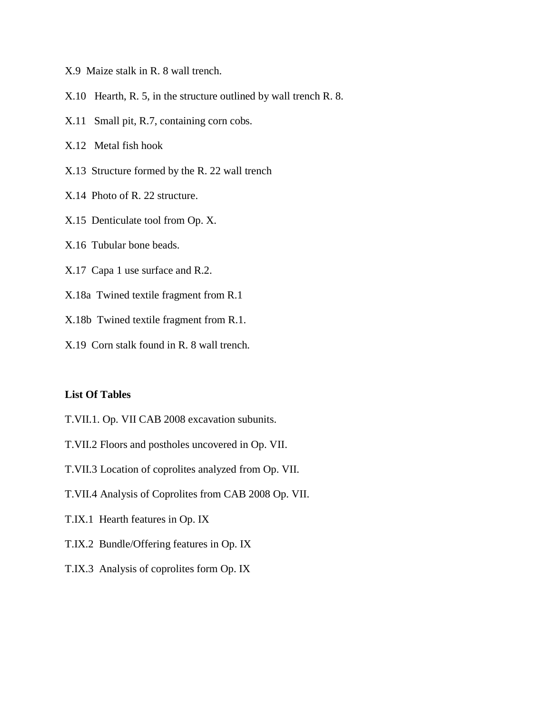- X.9 Maize stalk in R. 8 wall trench.
- X.10 Hearth, R. 5, in the structure outlined by wall trench R. 8.
- X.11 Small pit, R.7, containing corn cobs.
- X.12 Metal fish hook
- X.13 Structure formed by the R. 22 wall trench
- X.14 Photo of R. 22 structure.
- X.15 Denticulate tool from Op. X.
- X.16 Tubular bone beads.
- X.17 Capa 1 use surface and R.2.
- X.18a Twined textile fragment from R.1
- X.18b Twined textile fragment from R.1.
- X.19 Corn stalk found in R. 8 wall trench.

## **List Of Tables**

- T.VII.1. Op. VII CAB 2008 excavation subunits.
- T.VII.2 Floors and postholes uncovered in Op. VII.
- T.VII.3 Location of coprolites analyzed from Op. VII.
- T.VII.4 Analysis of Coprolites from CAB 2008 Op. VII.
- T.IX.1 Hearth features in Op. IX
- T.IX.2 Bundle/Offering features in Op. IX
- T.IX.3 Analysis of coprolites form Op. IX